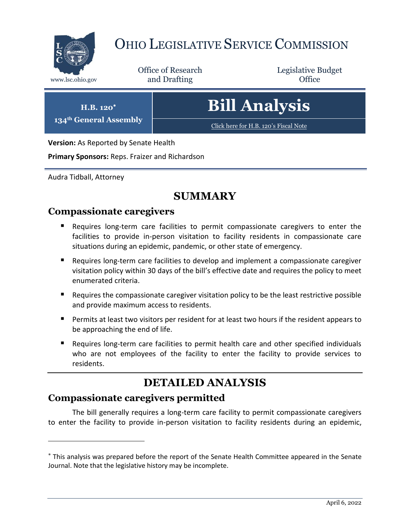

# OHIO LEGISLATIVE SERVICE COMMISSION

Office of Research www.lsc.ohio.gov **and Drafting Office** 

Legislative Budget

**H.B. 120**

**134th General Assembly**

**Bill Analysis**

[Click here for H.B. 120](https://www.legislature.ohio.gov/legislation/legislation-documents?id=GA134-HB-120)'s Fiscal Note

**Version:** As Reported by Senate Health

**Primary Sponsors:** Reps. Fraizer and Richardson

Audra Tidball, Attorney

 $\overline{a}$ 

## **SUMMARY**

#### **Compassionate caregivers**

- Requires long-term care facilities to permit compassionate caregivers to enter the facilities to provide in-person visitation to facility residents in compassionate care situations during an epidemic, pandemic, or other state of emergency.
- Requires long-term care facilities to develop and implement a compassionate caregiver visitation policy within 30 days of the bill's effective date and requires the policy to meet enumerated criteria.
- $\blacksquare$  Requires the compassionate caregiver visitation policy to be the least restrictive possible and provide maximum access to residents.
- **Permits at least two visitors per resident for at least two hours if the resident appears to** be approaching the end of life.
- Requires long-term care facilities to permit health care and other specified individuals who are not employees of the facility to enter the facility to provide services to residents.

# **DETAILED ANALYSIS**

### **Compassionate caregivers permitted**

The bill generally requires a long-term care facility to permit compassionate caregivers to enter the facility to provide in-person visitation to facility residents during an epidemic,

This analysis was prepared before the report of the Senate Health Committee appeared in the Senate Journal. Note that the legislative history may be incomplete.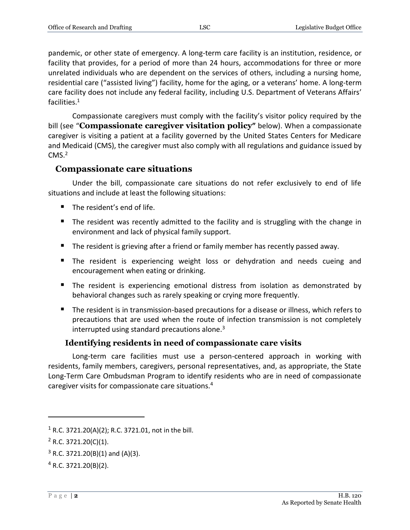pandemic, or other state of emergency. A long-term care facility is an institution, residence, or facility that provides, for a period of more than 24 hours, accommodations for three or more unrelated individuals who are dependent on the services of others, including a nursing home, residential care ("assisted living") facility, home for the aging, or a veterans' home. A long-term care facility does not include any federal facility, including U.S. Department of Veterans Affairs' facilities.<sup>1</sup>

Compassionate caregivers must comply with the facility's visitor policy required by the bill (see "**Compassionate caregiver visitation policy"** below). When a compassionate caregiver is visiting a patient at a facility governed by the United States Centers for Medicare and Medicaid (CMS), the caregiver must also comply with all regulations and guidance issued by  $CMS.<sup>2</sup>$ 

#### **Compassionate care situations**

Under the bill, compassionate care situations do not refer exclusively to end of life situations and include at least the following situations:

- The resident's end of life.
- The resident was recently admitted to the facility and is struggling with the change in environment and lack of physical family support.
- The resident is grieving after a friend or family member has recently passed away.
- **The resident is experiencing weight loss or dehydration and needs cueing and** encouragement when eating or drinking.
- The resident is experiencing emotional distress from isolation as demonstrated by behavioral changes such as rarely speaking or crying more frequently.
- The resident is in transmission-based precautions for a disease or illness, which refers to precautions that are used when the route of infection transmission is not completely interrupted using standard precautions alone. $3$

#### **Identifying residents in need of compassionate care visits**

Long-term care facilities must use a person-centered approach in working with residents, family members, caregivers, personal representatives, and, as appropriate, the State Long-Term Care Ombudsman Program to identify residents who are in need of compassionate caregiver visits for compassionate care situations.<sup>4</sup>

 $\overline{a}$ 

<sup>&</sup>lt;sup>1</sup> R.C. 3721.20(A)(2); R.C. 3721.01, not in the bill.

 $2$  R.C. 3721.20(C)(1).

 $3$  R.C. 3721.20(B)(1) and (A)(3).

 $4$  R.C. 3721.20(B)(2).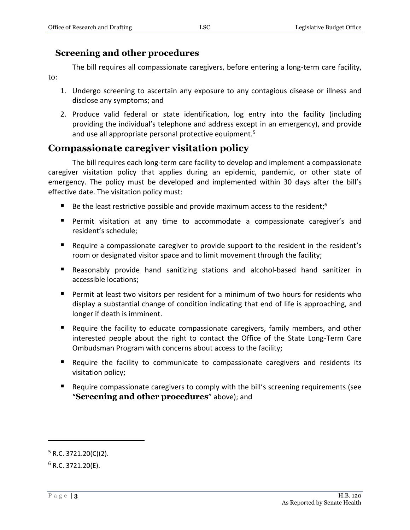#### **Screening and other procedures**

The bill requires all compassionate caregivers, before entering a long-term care facility, to:

- 1. Undergo screening to ascertain any exposure to any contagious disease or illness and disclose any symptoms; and
- 2. Produce valid federal or state identification, log entry into the facility (including providing the individual's telephone and address except in an emergency), and provide and use all appropriate personal protective equipment.<sup>5</sup>

### **Compassionate caregiver visitation policy**

The bill requires each long-term care facility to develop and implement a compassionate caregiver visitation policy that applies during an epidemic, pandemic, or other state of emergency. The policy must be developed and implemented within 30 days after the bill's effective date. The visitation policy must:

- Be the least restrictive possible and provide maximum access to the resident;<sup>6</sup>
- Permit visitation at any time to accommodate a compassionate caregiver's and resident's schedule;
- Require a compassionate caregiver to provide support to the resident in the resident's room or designated visitor space and to limit movement through the facility;
- Reasonably provide hand sanitizing stations and alcohol-based hand sanitizer in accessible locations;
- **Permit at least two visitors per resident for a minimum of two hours for residents who** display a substantial change of condition indicating that end of life is approaching, and longer if death is imminent.
- Require the facility to educate compassionate caregivers, family members, and other interested people about the right to contact the Office of the State Long-Term Care Ombudsman Program with concerns about access to the facility;
- Require the facility to communicate to compassionate caregivers and residents its visitation policy;
- Require compassionate caregivers to comply with the bill's screening requirements (see "**Screening and other procedures**" above); and

 $\overline{a}$ 

 $5$  R.C. 3721.20(C)(2).

 $6$  R.C. 3721.20(E).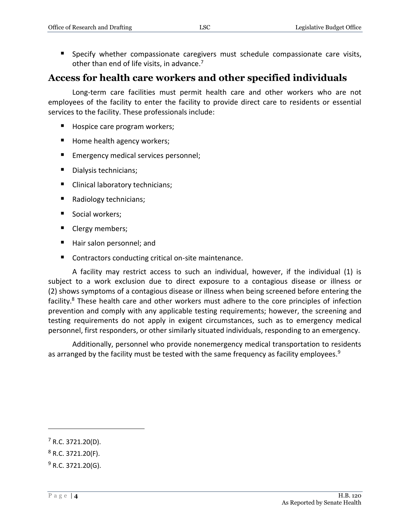Specify whether compassionate caregivers must schedule compassionate care visits, other than end of life visits, in advance.<sup>7</sup>

#### **Access for health care workers and other specified individuals**

Long-term care facilities must permit health care and other workers who are not employees of the facility to enter the facility to provide direct care to residents or essential services to the facility. These professionals include:

- Hospice care program workers;
- Home health agency workers;
- **Emergency medical services personnel;**
- Dialysis technicians;
- **Clinical laboratory technicians;**
- Radiology technicians;
- Social workers;
- Clergy members;
- Hair salon personnel; and
- Contractors conducting critical on-site maintenance.

A facility may restrict access to such an individual, however, if the individual (1) is subject to a work exclusion due to direct exposure to a contagious disease or illness or (2) shows symptoms of a contagious disease or illness when being screened before entering the facility.<sup>8</sup> These health care and other workers must adhere to the core principles of infection prevention and comply with any applicable testing requirements; however, the screening and testing requirements do not apply in exigent circumstances, such as to emergency medical personnel, first responders, or other similarly situated individuals, responding to an emergency.

Additionally, personnel who provide nonemergency medical transportation to residents as arranged by the facility must be tested with the same frequency as facility employees.<sup>9</sup>

 $\overline{a}$ 

 $7$  R.C. 3721.20(D).

 $8$  R.C. 3721.20(F).

 $9$  R.C. 3721.20(G).